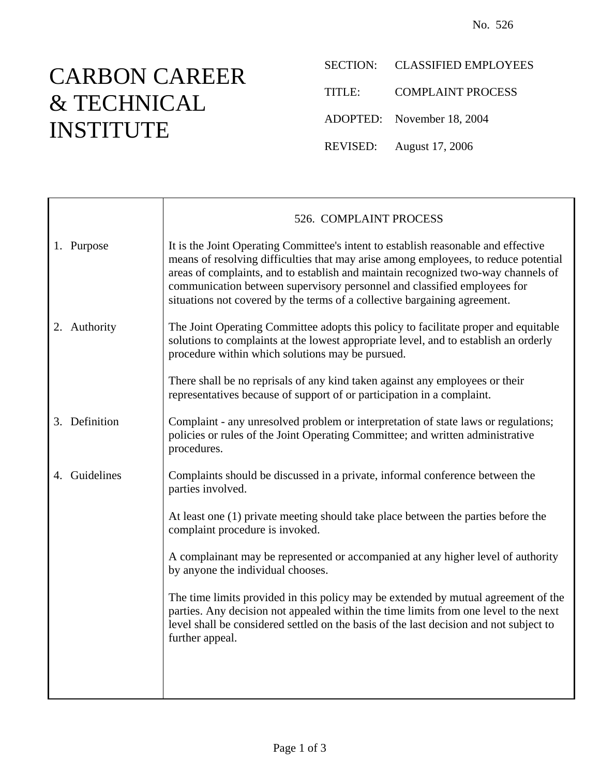## CARBON CAREER & TECHNICAL INSTITUTE

- SECTION: CLASSIFIED EMPLOYEES
- TITLE: COMPLAINT PROCESS
- ADOPTED: November 18, 2004
- REVISED: August 17, 2006

|                  | 526. COMPLAINT PROCESS                                                                                                                                                                                                                                                                                                                                                                                                  |
|------------------|-------------------------------------------------------------------------------------------------------------------------------------------------------------------------------------------------------------------------------------------------------------------------------------------------------------------------------------------------------------------------------------------------------------------------|
| 1. Purpose       | It is the Joint Operating Committee's intent to establish reasonable and effective<br>means of resolving difficulties that may arise among employees, to reduce potential<br>areas of complaints, and to establish and maintain recognized two-way channels of<br>communication between supervisory personnel and classified employees for<br>situations not covered by the terms of a collective bargaining agreement. |
| 2. Authority     | The Joint Operating Committee adopts this policy to facilitate proper and equitable<br>solutions to complaints at the lowest appropriate level, and to establish an orderly<br>procedure within which solutions may be pursued.                                                                                                                                                                                         |
|                  | There shall be no reprisals of any kind taken against any employees or their<br>representatives because of support of or participation in a complaint.                                                                                                                                                                                                                                                                  |
| 3. Definition    | Complaint - any unresolved problem or interpretation of state laws or regulations;<br>policies or rules of the Joint Operating Committee; and written administrative<br>procedures.                                                                                                                                                                                                                                     |
| Guidelines<br>4. | Complaints should be discussed in a private, informal conference between the<br>parties involved.                                                                                                                                                                                                                                                                                                                       |
|                  | At least one (1) private meeting should take place between the parties before the<br>complaint procedure is invoked.                                                                                                                                                                                                                                                                                                    |
|                  | A complainant may be represented or accompanied at any higher level of authority<br>by anyone the individual chooses.                                                                                                                                                                                                                                                                                                   |
|                  | The time limits provided in this policy may be extended by mutual agreement of the<br>parties. Any decision not appealed within the time limits from one level to the next<br>level shall be considered settled on the basis of the last decision and not subject to<br>further appeal.                                                                                                                                 |
|                  |                                                                                                                                                                                                                                                                                                                                                                                                                         |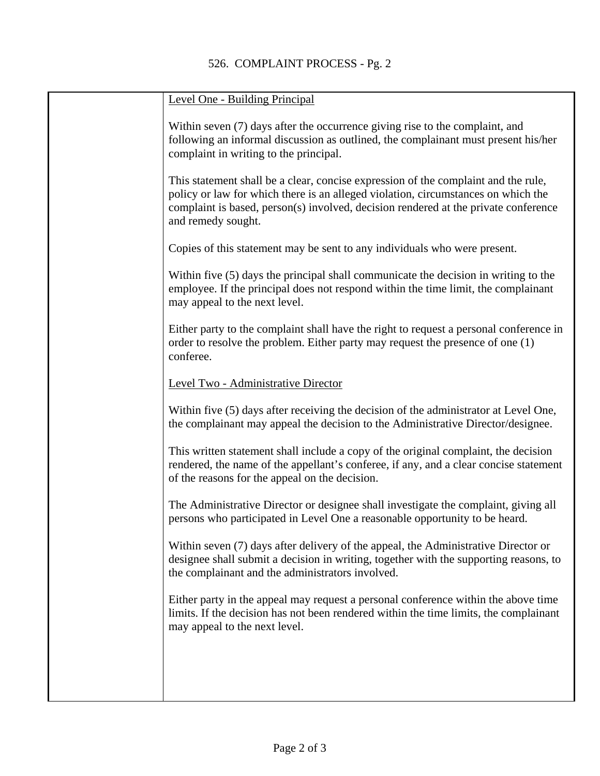| Level One - Building Principal                                                                                                                                                                                                                                                       |
|--------------------------------------------------------------------------------------------------------------------------------------------------------------------------------------------------------------------------------------------------------------------------------------|
| Within seven (7) days after the occurrence giving rise to the complaint, and<br>following an informal discussion as outlined, the complainant must present his/her<br>complaint in writing to the principal.                                                                         |
| This statement shall be a clear, concise expression of the complaint and the rule,<br>policy or law for which there is an alleged violation, circumstances on which the<br>complaint is based, person(s) involved, decision rendered at the private conference<br>and remedy sought. |
| Copies of this statement may be sent to any individuals who were present.                                                                                                                                                                                                            |
| Within five (5) days the principal shall communicate the decision in writing to the<br>employee. If the principal does not respond within the time limit, the complainant<br>may appeal to the next level.                                                                           |
| Either party to the complaint shall have the right to request a personal conference in<br>order to resolve the problem. Either party may request the presence of one (1)<br>conferee.                                                                                                |
| Level Two - Administrative Director                                                                                                                                                                                                                                                  |
| Within five (5) days after receiving the decision of the administrator at Level One,<br>the complainant may appeal the decision to the Administrative Director/designee.                                                                                                             |
| This written statement shall include a copy of the original complaint, the decision<br>rendered, the name of the appellant's conferee, if any, and a clear concise statement<br>of the reasons for the appeal on the decision.                                                       |
| The Administrative Director or designee shall investigate the complaint, giving all<br>persons who participated in Level One a reasonable opportunity to be heard.                                                                                                                   |
| Within seven (7) days after delivery of the appeal, the Administrative Director or<br>designee shall submit a decision in writing, together with the supporting reasons, to<br>the complainant and the administrators involved.                                                      |
| Either party in the appeal may request a personal conference within the above time<br>limits. If the decision has not been rendered within the time limits, the complainant<br>may appeal to the next level.                                                                         |
|                                                                                                                                                                                                                                                                                      |
|                                                                                                                                                                                                                                                                                      |
|                                                                                                                                                                                                                                                                                      |